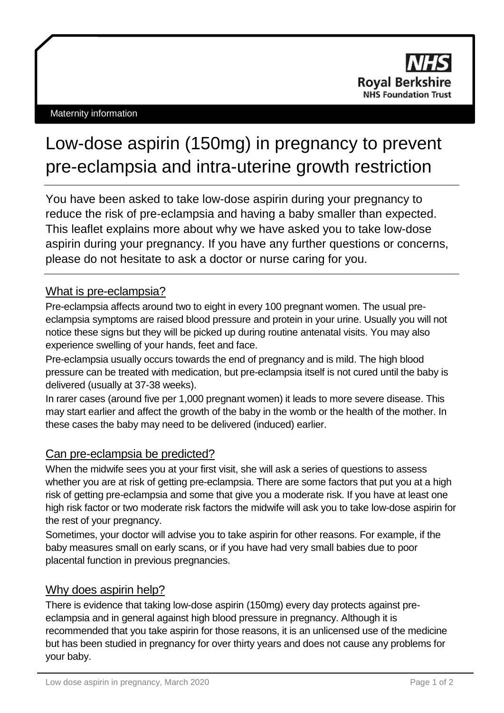# Low-dose aspirin (150mg) in pregnancy to prevent pre-eclampsia and intra-uterine growth restriction

You have been asked to take low-dose aspirin during your pregnancy to reduce the risk of pre-eclampsia and having a baby smaller than expected. This leaflet explains more about why we have asked you to take low-dose aspirin during your pregnancy. If you have any further questions or concerns, please do not hesitate to ask a doctor or nurse caring for you.

## What is pre-eclampsia?

Pre-eclampsia affects around two to eight in every 100 pregnant women. The usual preeclampsia symptoms are raised blood pressure and protein in your urine. Usually you will not notice these signs but they will be picked up during routine antenatal visits. You may also experience swelling of your hands, feet and face.

Pre-eclampsia usually occurs towards the end of pregnancy and is mild. The high blood pressure can be treated with medication, but pre-eclampsia itself is not cured until the baby is delivered (usually at 37-38 weeks).

In rarer cases (around five per 1,000 pregnant women) it leads to more severe disease. This may start earlier and affect the growth of the baby in the womb or the health of the mother. In these cases the baby may need to be delivered (induced) earlier.

## Can pre-eclampsia be predicted?

When the midwife sees you at your first visit, she will ask a series of questions to assess whether you are at risk of getting pre-eclampsia. There are some factors that put you at a high risk of getting pre-eclampsia and some that give you a moderate risk. If you have at least one high risk factor or two moderate risk factors the midwife will ask you to take low-dose aspirin for the rest of your pregnancy.

Sometimes, your doctor will advise you to take aspirin for other reasons. For example, if the baby measures small on early scans, or if you have had very small babies due to poor placental function in previous pregnancies.

## Why does aspirin help?

There is evidence that taking low-dose aspirin (150mg) every day protects against preeclampsia and in general against high blood pressure in pregnancy. Although it is recommended that you take aspirin for those reasons, it is an unlicensed use of the medicine but has been studied in pregnancy for over thirty years and does not cause any problems for your baby.